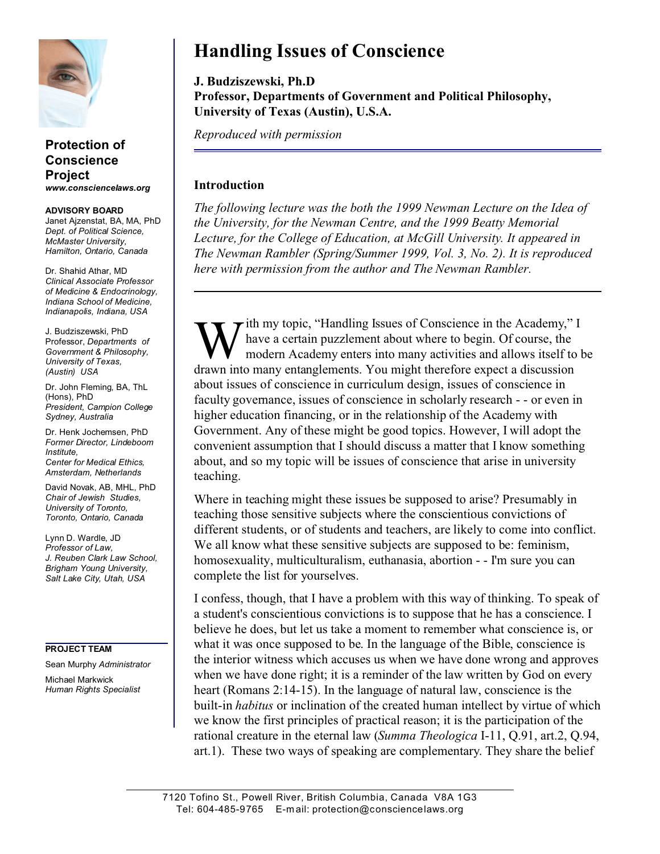

## **Protection of Conscience Project** *www.consciencelaws.org*

**ADVISORY BOARD** Janet Ajzenstat, BA, MA, PhD *Dept. of Political Science, McMaster University, Hamilton, Ontario, Canada*

Dr. Shahid Athar, MD *Clinical Associate Professor of Medicine & Endocrinology, Indiana School of Medicine, Indianapolis, Indiana, USA*

J. Budziszewski, PhD Professor, *Departments of Government & Philosophy, University of Texas, (Austin) USA*

Dr. John Fleming, BA, ThL (Hons), PhD *President, Campion College Sydney, Australia*

Dr. Henk Jochemsen, PhD *Former Director, Lindeboom Institute, Center for Medical Ethics, Amsterdam, Netherlands*

David Novak, AB, MHL, PhD *Chair of Jewish Studies, University of Toronto, Toronto, Ontario, Canada*

Lynn D. Wardle, JD *Professor of Law, J. Reuben Clark Law School, Brigham Young University, Salt Lake City, Utah, USA*

## **PROJECT TEAM**

Sean Murphy *Administrator* Michael Markwick *Human Rights Specialist*

## **Handling Issues of Conscience**

**J. Budziszewski, Ph.D Professor, Departments of Government and Political Philosophy, University of Texas (Austin), U.S.A.** 

*Reproduced with permission*

## **Introduction**

*The following lecture was the both the 1999 Newman Lecture on the Idea of the University, for the Newman Centre, and the 1999 Beatty Memorial Lecture, for the College of Education, at McGill University. It appeared in The Newman Rambler (Spring/Summer 1999, Vol. 3, No. 2). It is reproduced here with permission from the author and The Newman Rambler.*

W ith my topic, "Handling Issues of Conscience in the Academy,"<br>have a certain puzzlement about where to begin. Of course, the<br>drawn into many entanglements. You might therefore expect a discussion ith my topic, "Handling Issues of Conscience in the Academy," I have a certain puzzlement about where to begin. Of course, the modern Academy enters into many activities and allows itself to be about issues of conscience in curriculum design, issues of conscience in faculty governance, issues of conscience in scholarly research - - or even in higher education financing, or in the relationship of the Academy with Government. Any of these might be good topics. However, I will adopt the convenient assumption that I should discuss a matter that I know something about, and so my topic will be issues of conscience that arise in university teaching.

Where in teaching might these issues be supposed to arise? Presumably in teaching those sensitive subjects where the conscientious convictions of different students, or of students and teachers, are likely to come into conflict. We all know what these sensitive subjects are supposed to be: feminism, homosexuality, multiculturalism, euthanasia, abortion - - I'm sure you can complete the list for yourselves.

I confess, though, that I have a problem with this way of thinking. To speak of a student's conscientious convictions is to suppose that he has a conscience. I believe he does, but let us take a moment to remember what conscience is, or what it was once supposed to be. In the language of the Bible, conscience is the interior witness which accuses us when we have done wrong and approves when we have done right; it is a reminder of the law written by God on every heart (Romans 2:14-15). In the language of natural law, conscience is the built-in *habitus* or inclination of the created human intellect by virtue of which we know the first principles of practical reason; it is the participation of the rational creature in the eternal law (*Summa Theologica* I-11, Q.91, art.2, Q.94, art.1). These two ways of speaking are complementary. They share the belief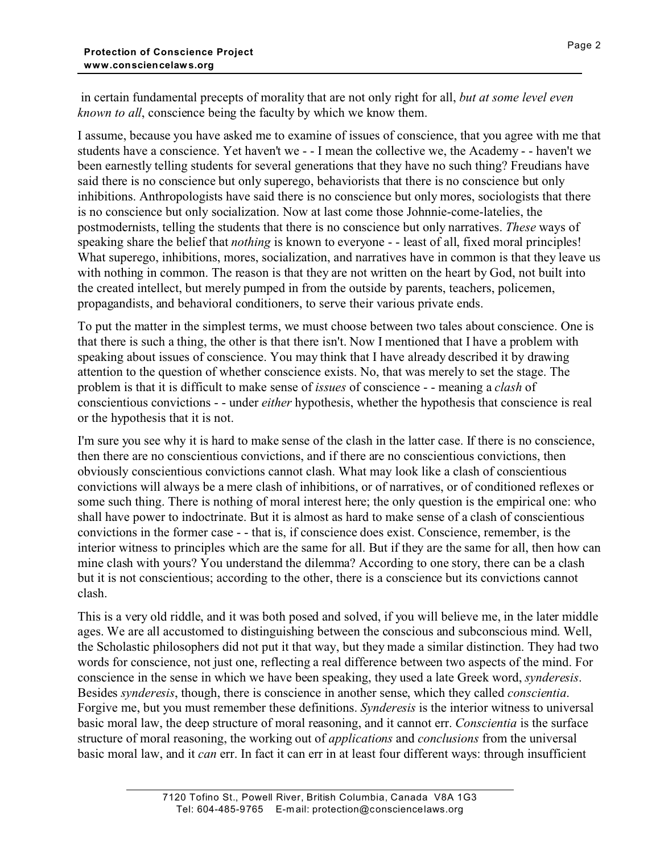in certain fundamental precepts of morality that are not only right for all, *but at some level even known to all*, conscience being the faculty by which we know them.

I assume, because you have asked me to examine of issues of conscience, that you agree with me that students have a conscience. Yet haven't we - - I mean the collective we, the Academy - - haven't we been earnestly telling students for several generations that they have no such thing? Freudians have said there is no conscience but only superego, behaviorists that there is no conscience but only inhibitions. Anthropologists have said there is no conscience but only mores, sociologists that there is no conscience but only socialization. Now at last come those Johnnie-come-latelies, the postmodernists, telling the students that there is no conscience but only narratives. *These* ways of speaking share the belief that *nothing* is known to everyone - - least of all, fixed moral principles! What superego, inhibitions, mores, socialization, and narratives have in common is that they leave us with nothing in common. The reason is that they are not written on the heart by God, not built into the created intellect, but merely pumped in from the outside by parents, teachers, policemen, propagandists, and behavioral conditioners, to serve their various private ends.

To put the matter in the simplest terms, we must choose between two tales about conscience. One is that there is such a thing, the other is that there isn't. Now I mentioned that I have a problem with speaking about issues of conscience. You may think that I have already described it by drawing attention to the question of whether conscience exists. No, that was merely to set the stage. The problem is that it is difficult to make sense of *issues* of conscience - - meaning a *clash* of conscientious convictions - - under *either* hypothesis, whether the hypothesis that conscience is real or the hypothesis that it is not.

I'm sure you see why it is hard to make sense of the clash in the latter case. If there is no conscience, then there are no conscientious convictions, and if there are no conscientious convictions, then obviously conscientious convictions cannot clash. What may look like a clash of conscientious convictions will always be a mere clash of inhibitions, or of narratives, or of conditioned reflexes or some such thing. There is nothing of moral interest here; the only question is the empirical one: who shall have power to indoctrinate. But it is almost as hard to make sense of a clash of conscientious convictions in the former case - - that is, if conscience does exist. Conscience, remember, is the interior witness to principles which are the same for all. But if they are the same for all, then how can mine clash with yours? You understand the dilemma? According to one story, there can be a clash but it is not conscientious; according to the other, there is a conscience but its convictions cannot clash.

This is a very old riddle, and it was both posed and solved, if you will believe me, in the later middle ages. We are all accustomed to distinguishing between the conscious and subconscious mind. Well, the Scholastic philosophers did not put it that way, but they made a similar distinction. They had two words for conscience, not just one, reflecting a real difference between two aspects of the mind. For conscience in the sense in which we have been speaking, they used a late Greek word, *synderesis*. Besides *synderesis*, though, there is conscience in another sense, which they called *conscientia*. Forgive me, but you must remember these definitions. *Synderesis* is the interior witness to universal basic moral law, the deep structure of moral reasoning, and it cannot err. *Conscientia* is the surface structure of moral reasoning, the working out of *applications* and *conclusions* from the universal basic moral law, and it *can* err. In fact it can err in at least four different ways: through insufficient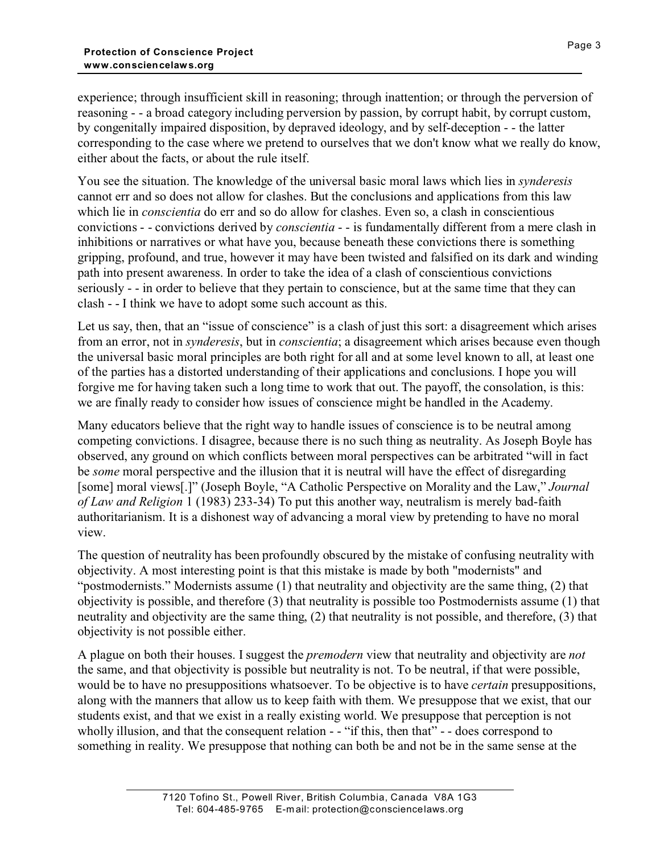experience; through insufficient skill in reasoning; through inattention; or through the perversion of reasoning - - a broad category including perversion by passion, by corrupt habit, by corrupt custom, by congenitally impaired disposition, by depraved ideology, and by self-deception - - the latter corresponding to the case where we pretend to ourselves that we don't know what we really do know, either about the facts, or about the rule itself.

You see the situation. The knowledge of the universal basic moral laws which lies in *synderesis* cannot err and so does not allow for clashes. But the conclusions and applications from this law which lie in *conscientia* do err and so do allow for clashes. Even so, a clash in conscientious convictions - - convictions derived by *conscientia* - - is fundamentally different from a mere clash in inhibitions or narratives or what have you, because beneath these convictions there is something gripping, profound, and true, however it may have been twisted and falsified on its dark and winding path into present awareness. In order to take the idea of a clash of conscientious convictions seriously - - in order to believe that they pertain to conscience, but at the same time that they can clash - - I think we have to adopt some such account as this.

Let us say, then, that an "issue of conscience" is a clash of just this sort: a disagreement which arises from an error, not in *synderesis*, but in *conscientia*; a disagreement which arises because even though the universal basic moral principles are both right for all and at some level known to all, at least one of the parties has a distorted understanding of their applications and conclusions. I hope you will forgive me for having taken such a long time to work that out. The payoff, the consolation, is this: we are finally ready to consider how issues of conscience might be handled in the Academy.

Many educators believe that the right way to handle issues of conscience is to be neutral among competing convictions. I disagree, because there is no such thing as neutrality. As Joseph Boyle has observed, any ground on which conflicts between moral perspectives can be arbitrated "will in fact be *some* moral perspective and the illusion that it is neutral will have the effect of disregarding [some] moral views[.]" (Joseph Boyle, "A Catholic Perspective on Morality and the Law," *Journal of Law and Religion* 1 (1983) 233-34) To put this another way, neutralism is merely bad-faith authoritarianism. It is a dishonest way of advancing a moral view by pretending to have no moral view.

The question of neutrality has been profoundly obscured by the mistake of confusing neutrality with objectivity. A most interesting point is that this mistake is made by both "modernists" and "postmodernists." Modernists assume (1) that neutrality and objectivity are the same thing, (2) that objectivity is possible, and therefore (3) that neutrality is possible too Postmodernists assume (1) that neutrality and objectivity are the same thing, (2) that neutrality is not possible, and therefore, (3) that objectivity is not possible either.

A plague on both their houses. I suggest the *premodern* view that neutrality and objectivity are *not* the same, and that objectivity is possible but neutrality is not. To be neutral, if that were possible, would be to have no presuppositions whatsoever. To be objective is to have *certain* presuppositions, along with the manners that allow us to keep faith with them. We presuppose that we exist, that our students exist, and that we exist in a really existing world. We presuppose that perception is not wholly illusion, and that the consequent relation - - "if this, then that" - - does correspond to something in reality. We presuppose that nothing can both be and not be in the same sense at the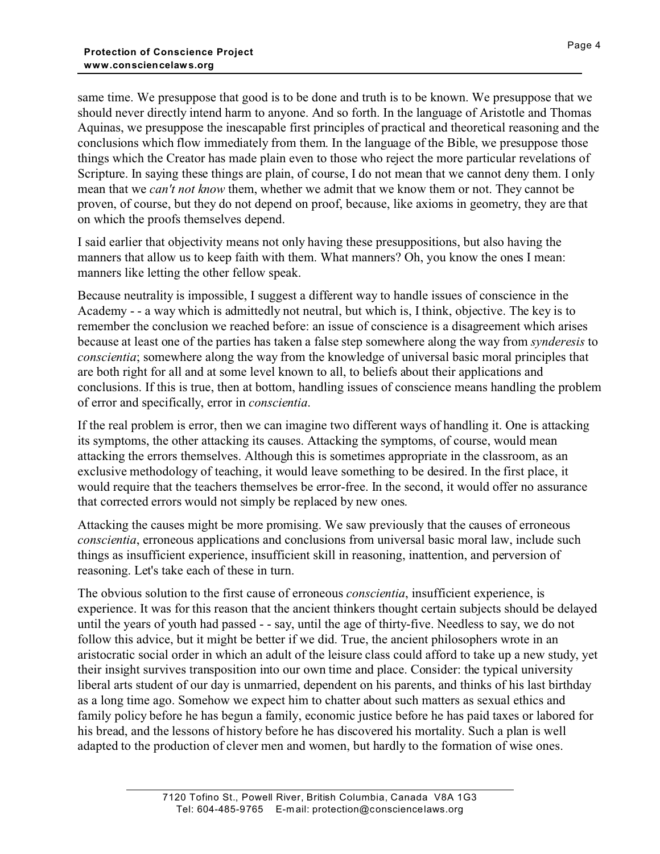same time. We presuppose that good is to be done and truth is to be known. We presuppose that we should never directly intend harm to anyone. And so forth. In the language of Aristotle and Thomas Aquinas, we presuppose the inescapable first principles of practical and theoretical reasoning and the conclusions which flow immediately from them. In the language of the Bible, we presuppose those things which the Creator has made plain even to those who reject the more particular revelations of Scripture. In saying these things are plain, of course, I do not mean that we cannot deny them. I only mean that we *can't not know* them, whether we admit that we know them or not. They cannot be proven, of course, but they do not depend on proof, because, like axioms in geometry, they are that on which the proofs themselves depend.

I said earlier that objectivity means not only having these presuppositions, but also having the manners that allow us to keep faith with them. What manners? Oh, you know the ones I mean: manners like letting the other fellow speak.

Because neutrality is impossible, I suggest a different way to handle issues of conscience in the Academy - - a way which is admittedly not neutral, but which is, I think, objective. The key is to remember the conclusion we reached before: an issue of conscience is a disagreement which arises because at least one of the parties has taken a false step somewhere along the way from *synderesis* to *conscientia*; somewhere along the way from the knowledge of universal basic moral principles that are both right for all and at some level known to all, to beliefs about their applications and conclusions. If this is true, then at bottom, handling issues of conscience means handling the problem of error and specifically, error in *conscientia*.

If the real problem is error, then we can imagine two different ways of handling it. One is attacking its symptoms, the other attacking its causes. Attacking the symptoms, of course, would mean attacking the errors themselves. Although this is sometimes appropriate in the classroom, as an exclusive methodology of teaching, it would leave something to be desired. In the first place, it would require that the teachers themselves be error-free. In the second, it would offer no assurance that corrected errors would not simply be replaced by new ones.

Attacking the causes might be more promising. We saw previously that the causes of erroneous *conscientia*, erroneous applications and conclusions from universal basic moral law, include such things as insufficient experience, insufficient skill in reasoning, inattention, and perversion of reasoning. Let's take each of these in turn.

The obvious solution to the first cause of erroneous *conscientia*, insufficient experience, is experience. It was for this reason that the ancient thinkers thought certain subjects should be delayed until the years of youth had passed - - say, until the age of thirty-five. Needless to say, we do not follow this advice, but it might be better if we did. True, the ancient philosophers wrote in an aristocratic social order in which an adult of the leisure class could afford to take up a new study, yet their insight survives transposition into our own time and place. Consider: the typical university liberal arts student of our day is unmarried, dependent on his parents, and thinks of his last birthday as a long time ago. Somehow we expect him to chatter about such matters as sexual ethics and family policy before he has begun a family, economic justice before he has paid taxes or labored for his bread, and the lessons of history before he has discovered his mortality. Such a plan is well adapted to the production of clever men and women, but hardly to the formation of wise ones.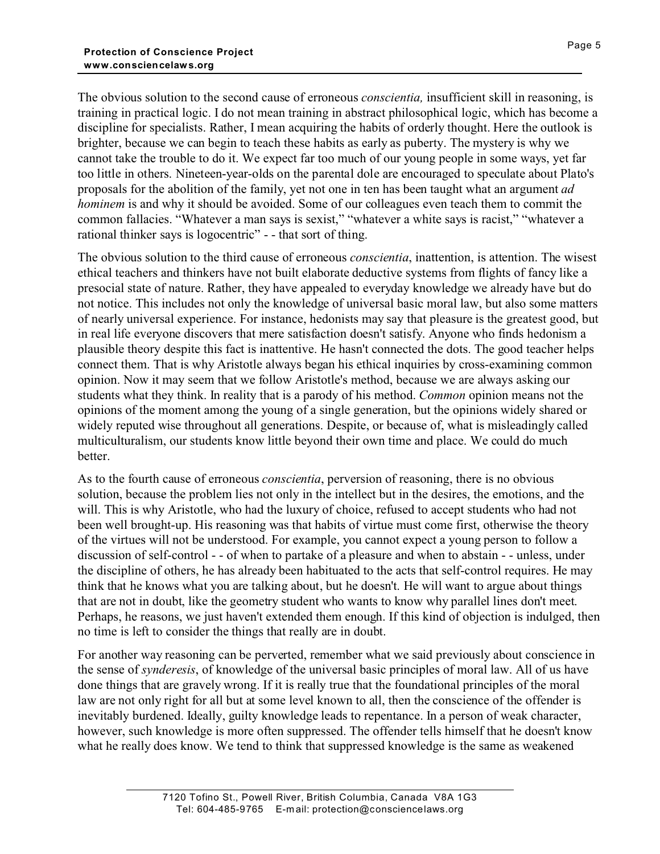The obvious solution to the second cause of erroneous *conscientia,* insufficient skill in reasoning, is training in practical logic. I do not mean training in abstract philosophical logic, which has become a discipline for specialists. Rather, I mean acquiring the habits of orderly thought. Here the outlook is brighter, because we can begin to teach these habits as early as puberty. The mystery is why we cannot take the trouble to do it. We expect far too much of our young people in some ways, yet far too little in others. Nineteen-year-olds on the parental dole are encouraged to speculate about Plato's proposals for the abolition of the family, yet not one in ten has been taught what an argument *ad hominem* is and why it should be avoided. Some of our colleagues even teach them to commit the common fallacies. "Whatever a man says is sexist," "whatever a white says is racist," "whatever a rational thinker says is logocentric" - - that sort of thing.

The obvious solution to the third cause of erroneous *conscientia*, inattention, is attention. The wisest ethical teachers and thinkers have not built elaborate deductive systems from flights of fancy like a presocial state of nature. Rather, they have appealed to everyday knowledge we already have but do not notice. This includes not only the knowledge of universal basic moral law, but also some matters of nearly universal experience. For instance, hedonists may say that pleasure is the greatest good, but in real life everyone discovers that mere satisfaction doesn't satisfy. Anyone who finds hedonism a plausible theory despite this fact is inattentive. He hasn't connected the dots. The good teacher helps connect them. That is why Aristotle always began his ethical inquiries by cross-examining common opinion. Now it may seem that we follow Aristotle's method, because we are always asking our students what they think. In reality that is a parody of his method. *Common* opinion means not the opinions of the moment among the young of a single generation, but the opinions widely shared or widely reputed wise throughout all generations. Despite, or because of, what is misleadingly called multiculturalism, our students know little beyond their own time and place. We could do much better.

As to the fourth cause of erroneous *conscientia*, perversion of reasoning, there is no obvious solution, because the problem lies not only in the intellect but in the desires, the emotions, and the will. This is why Aristotle, who had the luxury of choice, refused to accept students who had not been well brought-up. His reasoning was that habits of virtue must come first, otherwise the theory of the virtues will not be understood. For example, you cannot expect a young person to follow a discussion of self-control - - of when to partake of a pleasure and when to abstain - - unless, under the discipline of others, he has already been habituated to the acts that self-control requires. He may think that he knows what you are talking about, but he doesn't. He will want to argue about things that are not in doubt, like the geometry student who wants to know why parallel lines don't meet. Perhaps, he reasons, we just haven't extended them enough. If this kind of objection is indulged, then no time is left to consider the things that really are in doubt.

For another way reasoning can be perverted, remember what we said previously about conscience in the sense of *synderesis*, of knowledge of the universal basic principles of moral law. All of us have done things that are gravely wrong. If it is really true that the foundational principles of the moral law are not only right for all but at some level known to all, then the conscience of the offender is inevitably burdened. Ideally, guilty knowledge leads to repentance. In a person of weak character, however, such knowledge is more often suppressed. The offender tells himself that he doesn't know what he really does know. We tend to think that suppressed knowledge is the same as weakened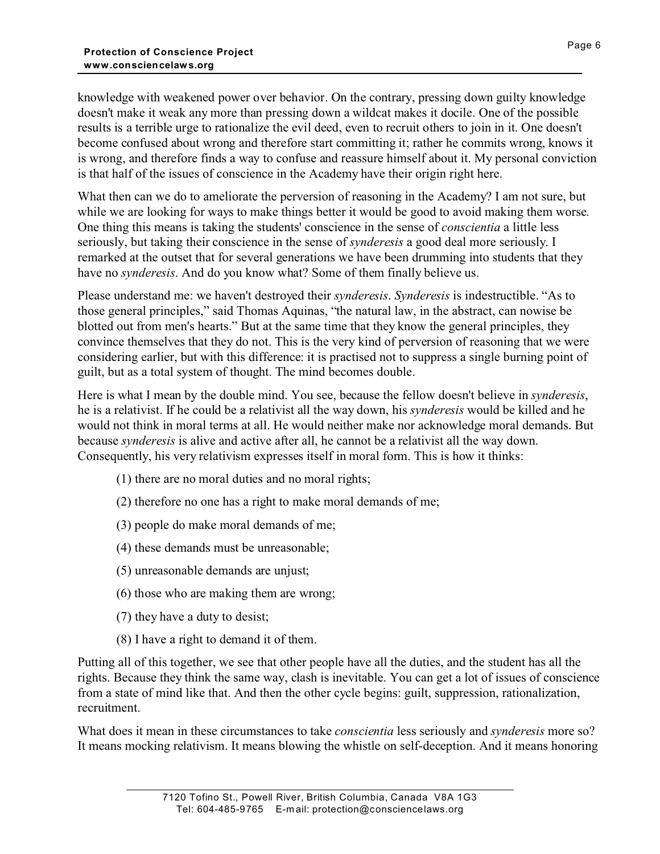knowledge with weakened power over behavior. On the contrary, pressing down guilty knowledge doesn't make it weak any more than pressing down a wildcat makes it docile. One of the possible results is a terrible urge to rationalize the evil deed, even to recruit others to join in it. One doesn't become confused about wrong and therefore start committing it; rather he commits wrong, knows it is wrong, and therefore finds a way to confuse and reassure himself about it. My personal conviction is that half of the issues of conscience in the Academy have their origin right here.

What then can we do to ameliorate the perversion of reasoning in the Academy? I am not sure, but while we are looking for ways to make things better it would be good to avoid making them worse. One thing this means is taking the students' conscience in the sense of *conscientia* a little less seriously, but taking their conscience in the sense of *synderesis* a good deal more seriously. I remarked at the outset that for several generations we have been drumming into students that they have no *synderesis*. And do you know what? Some of them finally believe us.

Please understand me: we haven't destroyed their *synderesis*. *Synderesis* is indestructible. "As to those general principles," said Thomas Aquinas, "the natural law, in the abstract, can nowise be blotted out from men's hearts." But at the same time that they know the general principles, they convince themselves that they do not. This is the very kind of perversion of reasoning that we were considering earlier, but with this difference: it is practised not to suppress a single burning point of guilt, but as a total system of thought. The mind becomes double.

Here is what I mean by the double mind. You see, because the fellow doesn't believe in *synderesis*, he is a relativist. If he could be a relativist all the way down, his *synderesis* would be killed and he would not think in moral terms at all. He would neither make nor acknowledge moral demands. But because *synderesis* is alive and active after all, he cannot be a relativist all the way down. Consequently, his very relativism expresses itself in moral form. This is how it thinks:

- (1) there are no moral duties and no moral rights;
- (2) therefore no one has a right to make moral demands of me;
- (3) people do make moral demands of me;
- (4) these demands must be unreasonable;
- (5) unreasonable demands are unjust;
- (6) those who are making them are wrong;
- (7) they have a duty to desist;
- (8) I have a right to demand it of them.

Putting all of this together, we see that other people have all the duties, and the student has all the rights. Because they think the same way, clash is inevitable. You can get a lot of issues of conscience from a state of mind like that. And then the other cycle begins: guilt, suppression, rationalization, recruitment.

What does it mean in these circumstances to take *conscientia* less seriously and *synderesis* more so? It means mocking relativism. It means blowing the whistle on self-deception. And it means honoring